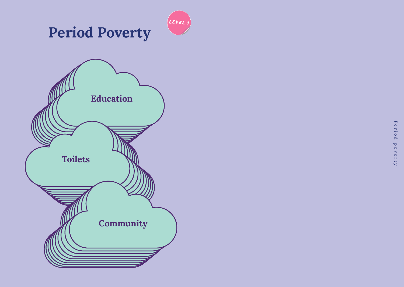

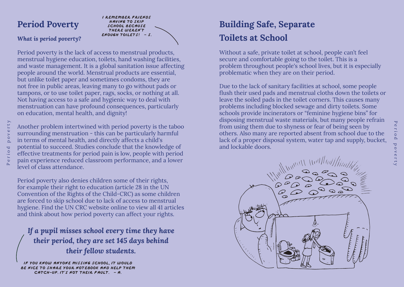# **Period Poverty**

## *What is period poverty?*

Period poverty

Period

poverty



Period poverty is the lack of access to menstrual products, menstrual hygiene education, toilets, hand washing facilities, and waste management. It is a global sanitation issue affecting people around the world. Menstrual products are essential, but unlike toilet paper and sometimes condoms, they are not free in public areas, leaving many to go without pads or tampons, or to use toilet paper, rags, socks, or nothing at all. Not having access to a safe and hygienic way to deal with menstruation can have profound consequences, particularly on education, mental health, and dignity!

Another problem intertwined with period poverty is the taboo surrounding menstruation - this can be particularly harmful in terms of mental health, and directly affects a child's potential to succeed. Studies conclude that the knowledge of effective treatments for period pain is low, people with period pain experience reduced classroom performance, and a lower level of class attendance.

Period poverty also denies children some of their rights, for example their right to education (article 28 in the UN Convention of the Rights of the Child-CRC) as some children are forced to skip school due to lack of access to menstrual hygiene. Find the UN CRC website online to view all 41 articles and think about how period poverty can affect your rights.

*If a pupil misses school every time they have their period, they are set 145 days behind their fellow students.*

**If you know anyone missing school**, **it would be nice to share your notebook and help them catch-up. it's not their fault. - A.**

# **Building Safe, Separate Toilets at School**

Without a safe, private toilet at school, people can't feel secure and comfortable going to the toilet. This is a problem throughout people's school lives, but it is especially problematic when they are on their period.

Due to the lack of sanitary facilities at school, some people flush their used pads and menstrual cloths down the toilets or leave the soiled pads in the toilet corners. This causes many problems including blocked sewage and dirty toilets. Some schools provide incinerators or "feminine hygiene bins" for disposing menstrual waste materials, but many people refrain from using them due to shyness or fear of being seen by others. Also many are reported absent from school due to the lack of a proper disposal system, water tap and supply, bucket, and lockable doors.

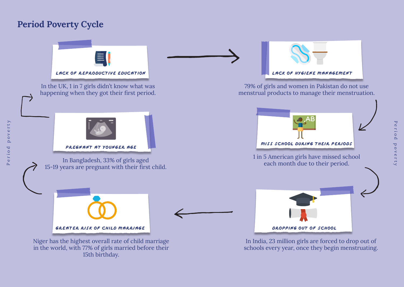# **Period Poverty Cycle**

Period poverty

eriod  $\tilde{\mathbf{r}}$ 

rty

 $v e$  $p$  o



Period poverty Perio تم poverty

in the world, with 77% of girls married before their 15th birthday.

schools every year, once they begin menstruating.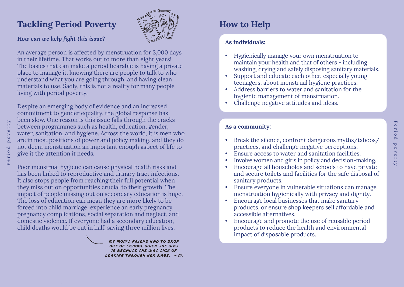## **Tackling Period Poverty**



## *How can we help fight this issue?*

An average person is affected by menstruation for 3,000 days in their lifetime. That works out to more than eight years! The basics that can make a period bearable is having a private place to manage it, knowing there are people to talk to who understand what you are going through, and having clean materials to use. Sadly, this is not a reality for many people living with period poverty.

Despite an emerging body of evidence and an increased commitment to gender equality, the global response has been slow. One reason is this issue falls through the cracks between programmes such as health, education, gender, water, sanitation, and hygiene. Across the world, it is men who are in most positions of power and policy making, and they do not deem menstruation an important enough aspect of life to give it the attention it needs.

Poor menstrual hygiene can cause physical health risks and has been linked to reproductive and urinary tract infections. It also stops people from reaching their full potential when they miss out on opportunities crucial to their growth. The impact of people missing out on secondary education is huge. The loss of education can mean they are more likely to be forced into child marriage, experience an early pregnancy, pregnancy complications, social separation and neglect, and domestic violence. If everyone had a secondary education, child deaths would be cut in half, saving three million lives.

> **My mom's friend had to drop out of school when she was 15 because she was sick of leaking through her rags. - M.**

# **How to Help**

## **As individuals:**

- Hygienically manage your own menstruation to maintain your health and that of others - including washing, drying and safely disposing sanitary materials.
- Support and educate each other, especially young teenagers, about menstrual hygiene practices.
- Address barriers to water and sanitation for the hygienic management of menstruation.
- Challenge negative attitudes and ideas.

## **As a community:**

• Break the silence, confront dangerous myths/taboos/ practices, and challenge negative perceptions.

Period poverty

poverty

 $\circ$  erio  $\Delta$ 

- Ensure access to water and sanitation facilities.
- Involve women and girls in policy and decision-making.
- Encourage all households and schools to have private and secure toilets and facilities for the safe disposal of sanitary products.
- Ensure everyone in vulnerable situations can manage menstruation hygienically with privacy and dignity.
- Encourage local businesses that make sanitary products, or ensure shop keepers sell affordable and accessible alternatives.
- Encourage and promote the use of reusable period products to reduce the health and environmental impact of disposable products.

riod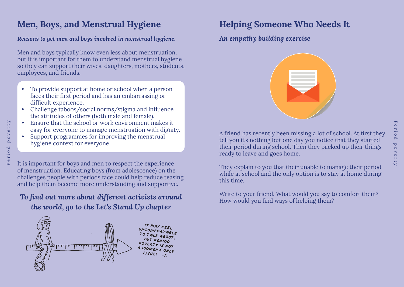# Period poverty eriod pove

# **Men, Boys, and Menstrual Hygiene**

## *Reasons to get men and boys involved in menstrual hygiene.*

Men and boys typically know even less about menstruation, but it is important for them to understand menstrual hygiene so they can support their wives, daughters, mothers, students, employees, and friends.

- To provide support at home or school when a person faces their first period and has an embarrassing or difficult experience.
- Challenge taboos/social norms/stigma and influence the attitudes of others (both male and female).
- Ensure that the school or work environment makes it easy for everyone to manage menstruation with dignity.
- Support programmes for improving the menstrual hygiene context for everyone.

It is important for boys and men to respect the experience of menstruation. Educating boys (from adolescence) on the challenges people with periods face could help reduce teasing and help them become more understanding and supportive.

## *To find out more about different activists around the world, go to the Let's Stand Up chapter*



# **Helping Someone Who Needs It**

*An empathy building exercise*



A friend has recently been missing a lot of school. At first they tell you it's nothing but one day you notice that they started their period during school. Then they packed up their things ready to leave and goes home.

They explain to you that their unable to manage their period while at school and the only option is to stay at home during this time.

Write to your friend. What would you say to comfort them? How would you find ways of helping them?

Ť  $\tilde{\Delta}$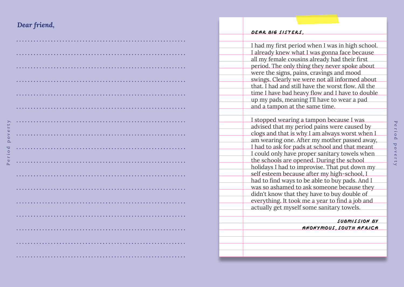## *Dear friend,*

Period poverty

eriod

poverty

| $\bullet$ $\bullet$                                                                                                                                                        |
|----------------------------------------------------------------------------------------------------------------------------------------------------------------------------|
|                                                                                                                                                                            |
|                                                                                                                                                                            |
|                                                                                                                                                                            |
| $\bullet$                                                                                                                                                                  |
|                                                                                                                                                                            |
| $\begin{array}{cccccccccccccc} \bullet & \bullet & \bullet & \bullet & \bullet & \bullet & \bullet & \bullet & \bullet \end{array}$<br>$\bullet$<br>$\bullet$<br>$\bullet$ |
| $\bullet$                                                                                                                                                                  |
|                                                                                                                                                                            |
| .<br>$\bullet$                                                                                                                                                             |
| $\begin{array}{ccc} \bullet & \bullet & \bullet \end{array}$                                                                                                               |
|                                                                                                                                                                            |
|                                                                                                                                                                            |
|                                                                                                                                                                            |

#### **Dear big sisters** ,

I had my first period when I was in high school. I already knew what I was gonna face because all my female cousins already had their first period. The only thing they never spoke about were the signs, pains, cravings and mood swings. Clearly we were not all informed about that. I had and still have the worst flow. All the time I have bad heavy flow and I have to double up my pads, meaning I'll have to wear a pad and a tampon at the same time.

I stopped wearing a tampon because I was advised that my period pains were caused by clogs and that is why I am always worst when I am wearing one. After my mother passed away, I had to ask for pads at school and that meant I could only have proper sanitary towels when the schools are opened. During the school holidays I had to improvise. That put down my self esteem because after my high-school, I had to find ways to be able to buy pads. And I was so ashamed to ask someone because they didn't know that they have to buy double of everything. It took me a year to find a job and actually get myself some sanitary towels.

#### **Submission by**

**Anonymous** , **South Africa**